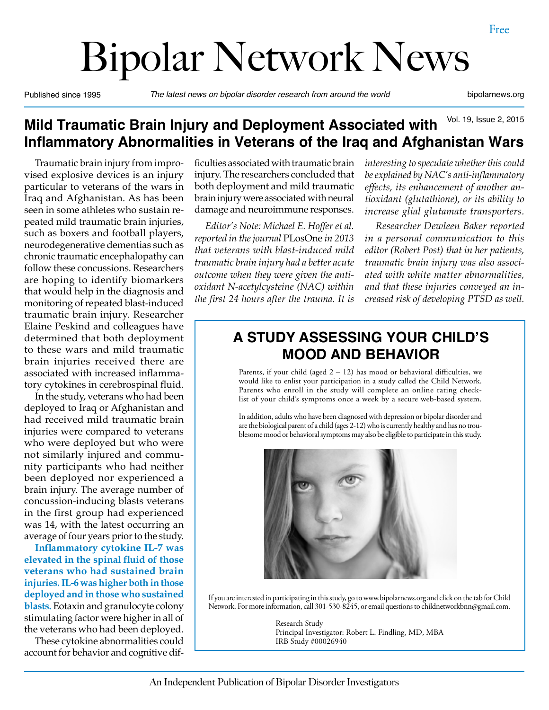# Bipolar Network News

Published since 1995 *The latest news on bipolar disorder research from around the world* bipolarnews.org

#### Vol. 19, Issue 2, 2015 **Mild Traumatic Brain Injury and Deployment Associated with Inflammatory Abnormalities in Veterans of the Iraq and Afghanistan Wars**

Traumatic brain injury from improvised explosive devices is an injury particular to veterans of the wars in Iraq and Afghanistan. As has been seen in some athletes who sustain repeated mild traumatic brain injuries, such as boxers and football players, neurodegenerative dementias such as chronic traumatic encephalopathy can follow these concussions. Researchers are hoping to identify biomarkers that would help in the diagnosis and monitoring of repeated blast-induced traumatic brain injury. Researcher Elaine Peskind and colleagues have determined that both deployment to these wars and mild traumatic brain injuries received there are associated with increased inflammatory cytokines in cerebrospinal fluid.

In the study, veterans who had been deployed to Iraq or Afghanistan and had received mild traumatic brain injuries were compared to veterans who were deployed but who were not similarly injured and community participants who had neither been deployed nor experienced a brain injury. The average number of concussion-inducing blasts veterans in the first group had experienced was 14, with the latest occurring an average of four years prior to the study.

**Inflammatory cytokine IL-7 was elevated in the spinal fluid of those veterans who had sustained brain injuries. IL-6 was higher both in those deployed and in those who sustained blasts.** Eotaxin and granulocyte colony stimulating factor were higher in all of the veterans who had been deployed.

These cytokine abnormalities could account for behavior and cognitive difficulties associated with traumatic brain injury. The researchers concluded that both deployment and mild traumatic brain injury were associated with neural damage and neuroimmune responses.

*Editor's Note: Michael E. Hoffer et al. reported in the journal* PLosOne *in 2013 that veterans with blast-induced mild traumatic brain injury had a better acute outcome when they were given the antioxidant N-acetylcysteine (NAC) within the first 24 hours after the trauma. It is* 

*interesting to speculate whether this could be explained by NAC's anti-inflammatory effects, its enhancement of another antioxidant (glutathione), or its ability to increase glial glutamate transporters.*

*Researcher Dewleen Baker reported in a personal communication to this editor (Robert Post) that in her patients, traumatic brain injury was also associated with white matter abnormalities, and that these injuries conveyed an increased risk of developing PTSD as well.*

## **A STUDY ASSESSING YOUR CHILD'S MOOD AND BEHAVIOR**

Parents, if your child (aged  $2 - 12$ ) has mood or behavioral difficulties, we would like to enlist your participation in a study called the Child Network. Parents who enroll in the study will complete an online rating checklist of your child's symptoms once a week by a secure web-based system.

In addition, adults who have been diagnosed with depression or bipolar disorder and are the biological parent of a child (ages 2-12) who is currently healthy and has no troublesome mood or behavioral symptoms may also be eligible to participate in this study.



If you are interested in participating in this study, go to www.bipolarnews.org and click on the tab for Child Network. For more information, call 301-530-8245, or email questions to childnetworkbnn@gmail.com.

> Research Study Principal Investigator: Robert L. Findling, MD, MBA IRB Study #00026940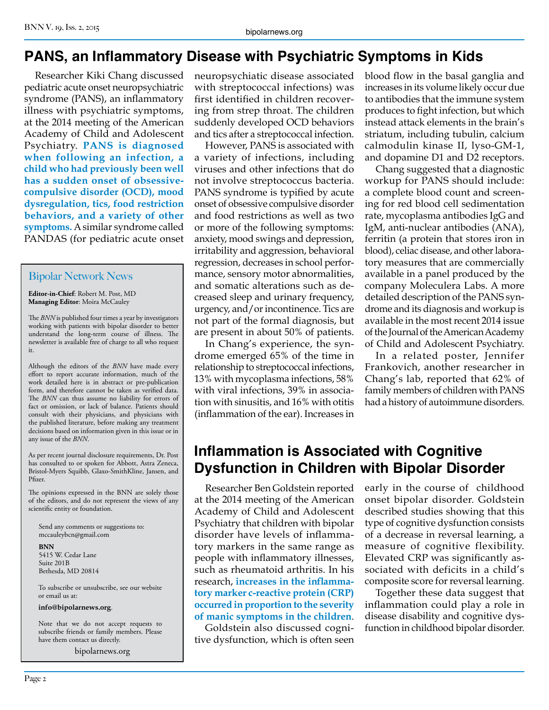## **PANS, an Inflammatory Disease with Psychiatric Symptoms in Kids**

Researcher Kiki Chang discussed pediatric acute onset neuropsychiatric syndrome (PANS), an inflammatory illness with psychiatric symptoms, at the 2014 meeting of the American Academy of Child and Adolescent Psychiatry. **PANS is diagnosed when following an infection, a child who had previously been well has a sudden onset of obsessivecompulsive disorder (OCD), mood dysregulation, tics, food restriction behaviors, and a variety of other symptoms.** A similar syndrome called PANDAS (for pediatric acute onset

#### Bipolar Network News

**Editor-in-Chief**: Robert M. Post, MD **Managing Editor**: Moira McCauley

The *BNN* is published four times a year by investigators working with patients with bipolar disorder to better understand the long-term course of illness. The newsletter is available free of charge to all who request it.

Although the editors of the *BNN* have made every effort to report accurate information, much of the work detailed here is in abstract or pre-publication form, and therefore cannot be taken as verified data. The *BNN* can thus assume no liability for errors of fact or omission, or lack of balance. Patients should consult with their physicians, and physicians with the published literature, before making any treatment decisions based on information given in this issue or in any issue of the *BNN*.

As per recent journal disclosure requirements, Dr. Post has consulted to or spoken for Abbott, Astra Zeneca, Bristol-Myers Squibb, Glaxo-SmithKline, Jansen, and Pfizer.

The opinions expressed in the BNN are solely those of the editors, and do not represent the views of any scientific entity or foundation.

Send any comments or suggestions to: mccauleybcn@gmail.com

**BNN** 5415 W. Cedar Lane Suite 201B Bethesda, MD 20814

To subscribe or unsubscribe, see our website or email us at:

**info@bipolarnews.org**.

Note that we do not accept requests to subscribe friends or family members. Please have them contact us directly.

bipolarnews.org

neuropsychiatic disease associated with streptococcal infections) was first identified in children recovering from strep throat. The children suddenly developed OCD behaviors and tics after a streptococcal infection.

However, PANS is associated with a variety of infections, including viruses and other infections that do not involve streptococcus bacteria. PANS syndrome is typified by acute onset of obsessive compulsive disorder and food restrictions as well as two or more of the following symptoms: anxiety, mood swings and depression, irritability and aggression, behavioral regression, decreases in school performance, sensory motor abnormalities, and somatic alterations such as decreased sleep and urinary frequency, urgency, and/or incontinence. Tics are not part of the formal diagnosis, but are present in about 50% of patients.

In Chang's experience, the syndrome emerged 65% of the time in relationship to streptococcal infections, 13% with mycoplasma infections, 58% with viral infections, 39% in association with sinusitis, and 16% with otitis (inflammation of the ear). Increases in

blood flow in the basal ganglia and increases in its volume likely occur due to antibodies that the immune system produces to fight infection, but which instead attack elements in the brain's striatum, including tubulin, calcium calmodulin kinase II, lyso-GM-1, and dopamine D1 and D2 receptors.

Chang suggested that a diagnostic workup for PANS should include: a complete blood count and screening for red blood cell sedimentation rate, mycoplasma antibodies IgG and IgM, anti-nuclear antibodies (ANA), ferritin (a protein that stores iron in blood), celiac disease, and other laboratory measures that are commercially available in a panel produced by the company Moleculera Labs. A more detailed description of the PANS syndrome and its diagnosis and workup is available in the most recent 2014 issue of the Journal of the American Academy of Child and Adolescent Psychiatry.

In a related poster, Jennifer Frankovich, another researcher in Chang's lab, reported that 62% of family members of children with PANS had a history of autoimmune disorders.

## **Inflammation is Associated with Cognitive Dysfunction in Children with Bipolar Disorder**

Researcher Ben Goldstein reported at the 2014 meeting of the American Academy of Child and Adolescent Psychiatry that children with bipolar disorder have levels of inflammatory markers in the same range as people with inflammatory illnesses, such as rheumatoid arthritis. In his research, **increases in the inflammatory marker c-reactive protein (CRP) occurred in proportion to the severity of manic symptoms in the children**.

Goldstein also discussed cognitive dysfunction, which is often seen early in the course of childhood onset bipolar disorder. Goldstein described studies showing that this type of cognitive dysfunction consists of a decrease in reversal learning, a measure of cognitive flexibility. Elevated CRP was significantly associated with deficits in a child's composite score for reversal learning.

Together these data suggest that inflammation could play a role in disease disability and cognitive dysfunction in childhood bipolar disorder.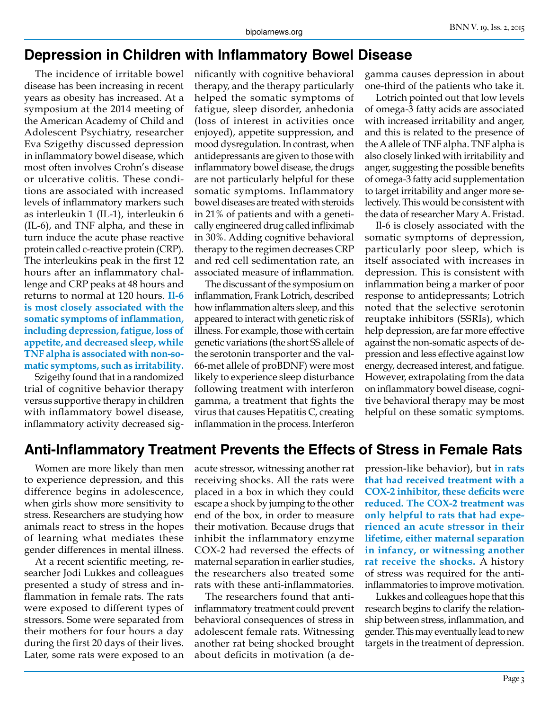#### **Depression in Children with Inflammatory Bowel Disease**

The incidence of irritable bowel disease has been increasing in recent years as obesity has increased. At a symposium at the 2014 meeting of the American Academy of Child and Adolescent Psychiatry, researcher Eva Szigethy discussed depression in inflammatory bowel disease, which most often involves Crohn's disease or ulcerative colitis. These conditions are associated with increased levels of inflammatory markers such as interleukin 1 (IL-1), interleukin 6 (IL-6), and TNF alpha, and these in turn induce the acute phase reactive protein called c-reactive protein (CRP). The interleukins peak in the first 12 hours after an inflammatory challenge and CRP peaks at 48 hours and returns to normal at 120 hours. **Il-6 is most closely associated with the somatic symptoms of inflammation, including depression, fatigue, loss of appetite, and decreased sleep, while TNF alpha is associated with non-somatic symptoms, such as irritability.**

Szigethy found that in a randomized trial of cognitive behavior therapy versus supportive therapy in children with inflammatory bowel disease, inflammatory activity decreased significantly with cognitive behavioral therapy, and the therapy particularly helped the somatic symptoms of fatigue, sleep disorder, anhedonia (loss of interest in activities once enjoyed), appetite suppression, and mood dysregulation. In contrast, when antidepressants are given to those with inflammatory bowel disease, the drugs are not particularly helpful for these somatic symptoms. Inflammatory bowel diseases are treated with steroids in 21% of patients and with a genetically engineered drug called infliximab in 30%. Adding cognitive behavioral therapy to the regimen decreases CRP and red cell sedimentation rate, an associated measure of inflammation.

The discussant of the symposium on inflammation, Frank Lotrich, described how inflammation alters sleep, and this appeared to interact with genetic risk of illness. For example, those with certain genetic variations (the short SS allele of the serotonin transporter and the val-66-met allele of proBDNF) were most likely to experience sleep disturbance following treatment with interferon gamma, a treatment that fights the virus that causes Hepatitis C, creating inflammation in the process. Interferon

gamma causes depression in about one-third of the patients who take it.

Lotrich pointed out that low levels of omega-3 fatty acids are associated with increased irritability and anger, and this is related to the presence of the A allele of TNF alpha. TNF alpha is also closely linked with irritability and anger, suggesting the possible benefits of omega-3 fatty acid supplementation to target irritability and anger more selectively. This would be consistent with the data of researcher Mary A. Fristad.

Il-6 is closely associated with the somatic symptoms of depression, particularly poor sleep, which is itself associated with increases in depression. This is consistent with inflammation being a marker of poor response to antidepressants; Lotrich noted that the selective serotonin reuptake inhibitors (SSRIs), which help depression, are far more effective against the non-somatic aspects of depression and less effective against low energy, decreased interest, and fatigue. However, extrapolating from the data on inflammatory bowel disease, cognitive behavioral therapy may be most helpful on these somatic symptoms.

#### **Anti-Inflammatory Treatment Prevents the Effects of Stress in Female Rats**

Women are more likely than men to experience depression, and this difference begins in adolescence, when girls show more sensitivity to stress. Researchers are studying how animals react to stress in the hopes of learning what mediates these gender differences in mental illness.

At a recent scientific meeting, researcher Jodi Lukkes and colleagues presented a study of stress and inflammation in female rats. The rats were exposed to different types of stressors. Some were separated from their mothers for four hours a day during the first 20 days of their lives. Later, some rats were exposed to an

acute stressor, witnessing another rat receiving shocks. All the rats were placed in a box in which they could escape a shock by jumping to the other end of the box, in order to measure their motivation. Because drugs that inhibit the inflammatory enzyme COX-2 had reversed the effects of maternal separation in earlier studies, the researchers also treated some rats with these anti-inflammatories.

The researchers found that antiinflammatory treatment could prevent behavioral consequences of stress in adolescent female rats. Witnessing another rat being shocked brought about deficits in motivation (a depression-like behavior), but **in rats that had received treatment with a COX-2 inhibitor, these deficits were reduced. The COX-2 treatment was only helpful to rats that had experienced an acute stressor in their lifetime, either maternal separation in infancy, or witnessing another rat receive the shocks.** A history of stress was required for the antiinflammatories to improve motivation.

Lukkes and colleagues hope that this research begins to clarify the relationship between stress, inflammation, and gender. This may eventually lead to new targets in the treatment of depression.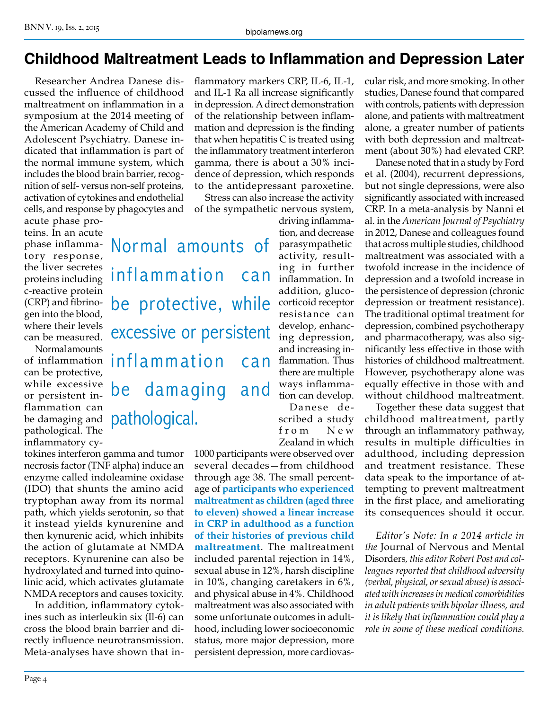#### **Childhood Maltreatment Leads to Inflammation and Depression Later**

flammatory markers CRP, IL-6, IL-1,

Researcher Andrea Danese discussed the influence of childhood maltreatment on inflammation in a symposium at the 2014 meeting of the American Academy of Child and Adolescent Psychiatry. Danese indicated that inflammation is part of the normal immune system, which includes the blood brain barrier, recognition of self- versus non-self proteins, activation of cytokines and endothelial cells, and response by phagocytes and

acute phase proteins. In an acute phase inflammatory response, the liver secretes proteins including c-reactive protein (CRP) and fibrinogen into the blood, where their levels can be measured.

Normal amounts of inflammation can be protective, while excessive or persistent inflammation can be damaging and pathological. The inflammatory cyand IL-1 Ra all increase significantly in depression. A direct demonstration of the relationship between inflammation and depression is the finding that when hepatitis C is treated using the inflammatory treatment interferon gamma, there is about a 30% incidence of depression, which responds to the antidepressant paroxetine. Stress can also increase the activity of the sympathetic nervous system,

Normal amounts of inflammation be protective, while excessive or persistent inflammation can be damaging and pathological.

tokines interferon gamma and tumor necrosis factor (TNF alpha) induce an enzyme called indoleamine oxidase (IDO) that shunts the amino acid tryptophan away from its normal path, which yields serotonin, so that it instead yields kynurenine and then kynurenic acid, which inhibits the action of glutamate at NMDA receptors. Kynurenine can also be hydroxylated and turned into quinolinic acid, which activates glutamate NMDA receptors and causes toxicity.

In addition, inflammatory cytokines such as interleukin six (Il-6) can cross the blood brain barrier and directly influence neurotransmission. Meta-analyses have shown that in-

driving inflammation, and decrease parasympathetic activity, resulting in further Can inflammation. In addition, glucocorticoid receptor resistance can develop, enhancing depression, and increasing inflammation. Thus there are multiple ways inflammation can develop.

Danese described a study from New Zealand in which

1000 participants were observed over several decades—from childhood through age 38. The small percentage of **participants who experienced maltreatment as children (aged three to eleven) showed a linear increase in CRP in adulthood as a function of their histories of previous child maltreatment**. The maltreatment included parental rejection in 14%, sexual abuse in 12%, harsh discipline in 10%, changing caretakers in 6%, and physical abuse in 4%. Childhood maltreatment was also associated with some unfortunate outcomes in adulthood, including lower socioeconomic status, more major depression, more persistent depression, more cardiovascular risk, and more smoking. In other studies, Danese found that compared with controls, patients with depression alone, and patients with maltreatment alone, a greater number of patients with both depression and maltreatment (about 30%) had elevated CRP.

Danese noted that in a study by Ford et al. (2004), recurrent depressions, but not single depressions, were also significantly associated with increased CRP. In a meta-analysis by Nanni et al. in the *American Journal of Psychiatry*  in 2012, Danese and colleagues found that across multiple studies, childhood maltreatment was associated with a twofold increase in the incidence of depression and a twofold increase in the persistence of depression (chronic depression or treatment resistance). The traditional optimal treatment for depression, combined psychotherapy and pharmacotherapy, was also significantly less effective in those with histories of childhood maltreatment. However, psychotherapy alone was equally effective in those with and without childhood maltreatment.

Together these data suggest that childhood maltreatment, partly through an inflammatory pathway, results in multiple difficulties in adulthood, including depression and treatment resistance. These data speak to the importance of attempting to prevent maltreatment in the first place, and ameliorating its consequences should it occur.

*Editor's Note: In a 2014 article in the* Journal of Nervous and Mental Disorders*, this editor Robert Post and colleagues reported that childhood adversity (verbal, physical, or sexual abuse) is associated with increases in medical comorbidities in adult patients with bipolar illness, and it is likely that inflammation could play a role in some of these medical conditions.*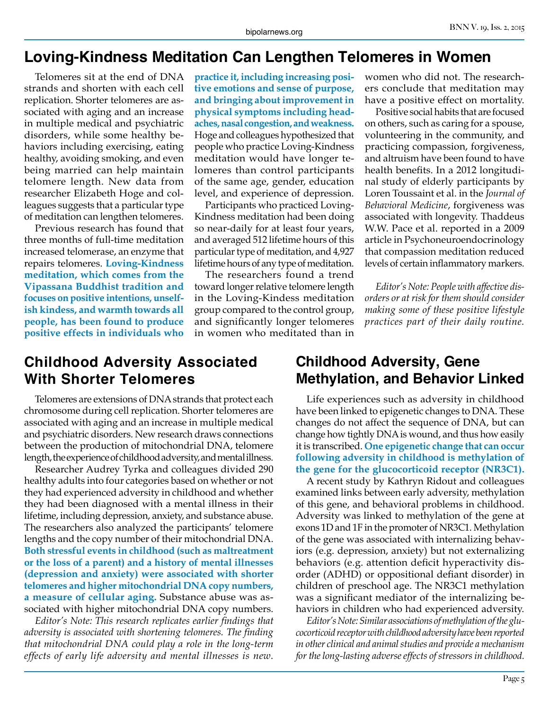#### **Loving-Kindness Meditation Can Lengthen Telomeres in Women**

Telomeres sit at the end of DNA strands and shorten with each cell replication. Shorter telomeres are associated with aging and an increase in multiple medical and psychiatric disorders, while some healthy behaviors including exercising, eating healthy, avoiding smoking, and even being married can help maintain telomere length. New data from researcher Elizabeth Hoge and colleagues suggests that a particular type of meditation can lengthen telomeres.

Previous research has found that three months of full-time meditation increased telomerase, an enzyme that repairs telomeres. **Loving-Kindness meditation, which comes from the Vipassana Buddhist tradition and focuses on positive intentions, unselfish kindess, and warmth towards all people, has been found to produce positive effects in individuals who** 

**practice it, including increasing positive emotions and sense of purpose, and bringing about improvement in physical symptoms including headaches, nasal congestion, and weakness.**  Hoge and colleagues hypothesized that people who practice Loving-Kindness meditation would have longer telomeres than control participants of the same age, gender, education level, and experience of depression.

Participants who practiced Loving-Kindness meditation had been doing so near-daily for at least four years, and averaged 512 lifetime hours of this particular type of meditation, and 4,927 lifetime hours of any type of meditation.

The researchers found a trend toward longer relative telomere length in the Loving-Kindess meditation group compared to the control group, and significantly longer telomeres in women who meditated than in

women who did not. The researchers conclude that meditation may have a positive effect on mortality.

Positive social habits that are focused on others, such as caring for a spouse, volunteering in the community, and practicing compassion, forgiveness, and altruism have been found to have health benefits. In a 2012 longitudinal study of elderly participants by Loren Toussaint et al. in the *Journal of Behavioral Medicine*, forgiveness was associated with longevity. Thaddeus W.W. Pace et al. reported in a 2009 article in Psychoneuroendocrinology that compassion meditation reduced levels of certain inflammatory markers.

*Editor's Note: People with affective disorders or at risk for them should consider making some of these positive lifestyle practices part of their daily routine.*

#### **Childhood Adversity Associated With Shorter Telomeres**

Telomeres are extensions of DNA strands that protect each chromosome during cell replication. Shorter telomeres are associated with aging and an increase in multiple medical and psychiatric disorders. New research draws connections between the production of mitochondrial DNA, telomere length, the experience of childhood adversity, and mental illness.

Researcher Audrey Tyrka and colleagues divided 290 healthy adults into four categories based on whether or not they had experienced adversity in childhood and whether they had been diagnosed with a mental illness in their lifetime, including depression, anxiety, and substance abuse. The researchers also analyzed the participants' telomere lengths and the copy number of their mitochondrial DNA. **Both stressful events in childhood (such as maltreatment or the loss of a parent) and a history of mental illnesses (depression and anxiety) were associated with shorter telomeres and higher mitochondrial DNA copy numbers, a measure of cellular aging.** Substance abuse was associated with higher mitochondrial DNA copy numbers.

*Editor's Note: This research replicates earlier findings that adversity is associated with shortening telomeres. The finding that mitochondrial DNA could play a role in the long-term effects of early life adversity and mental illnesses is new.*

#### **Childhood Adversity, Gene Methylation, and Behavior Linked**

Life experiences such as adversity in childhood have been linked to epigenetic changes to DNA. These changes do not affect the sequence of DNA, but can change how tightly DNA is wound, and thus how easily it is transcribed. **One epigenetic change that can occur following adversity in childhood is methylation of the gene for the glucocorticoid receptor (NR3C1).** 

A recent study by Kathryn Ridout and colleagues examined links between early adversity, methylation of this gene, and behavioral problems in childhood. Adversity was linked to methylation of the gene at exons 1D and 1F in the promoter of NR3C1. Methylation of the gene was associated with internalizing behaviors (e.g. depression, anxiety) but not externalizing behaviors (e.g. attention deficit hyperactivity disorder (ADHD) or oppositional defiant disorder) in children of preschool age. The NR3C1 methylation was a significant mediator of the internalizing behaviors in children who had experienced adversity.

*Editor's Note: Similar associations of methylation of the glucocorticoid receptor with childhood adversity have been reported in other clinical and animal studies and provide a mechanism for the long-lasting adverse effects of stressors in childhood.*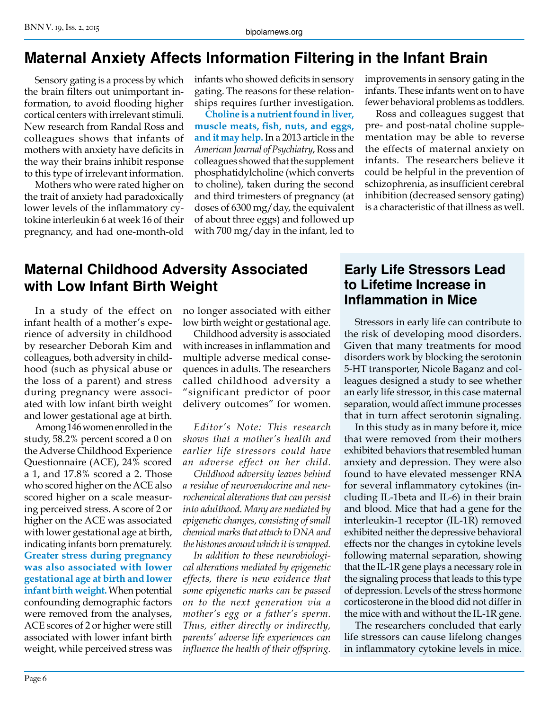#### **Maternal Anxiety Affects Information Filtering in the Infant Brain**

Sensory gating is a process by which the brain filters out unimportant information, to avoid flooding higher cortical centers with irrelevant stimuli. New research from Randal Ross and colleagues shows that infants of mothers with anxiety have deficits in the way their brains inhibit response to this type of irrelevant information.

Mothers who were rated higher on the trait of anxiety had paradoxically lower levels of the inflammatory cytokine interleukin 6 at week 16 of their pregnancy, and had one-month-old infants who showed deficits in sensory gating. The reasons for these relationships requires further investigation.

**Choline is a nutrient found in liver, muscle meats, fish, nuts, and eggs, and it may help.** In a 2013 article in the *American Journal of Psychiatry*, Ross and colleagues showed that the supplement phosphatidylcholine (which converts to choline), taken during the second and third trimesters of pregnancy (at doses of 6300 mg/day, the equivalent of about three eggs) and followed up with 700 mg/day in the infant, led to improvements in sensory gating in the infants. These infants went on to have fewer behavioral problems as toddlers.

Ross and colleagues suggest that pre- and post-natal choline supplementation may be able to reverse the effects of maternal anxiety on infants. The researchers believe it could be helpful in the prevention of schizophrenia, as insufficient cerebral inhibition (decreased sensory gating) is a characteristic of that illness as well.

#### **Maternal Childhood Adversity Associated with Low Infant Birth Weight**

In a study of the effect on infant health of a mother's experience of adversity in childhood by researcher Deborah Kim and colleagues, both adversity in childhood (such as physical abuse or the loss of a parent) and stress during pregnancy were associated with low infant birth weight and lower gestational age at birth.

Among 146 women enrolled in the study, 58.2% percent scored a 0 on the Adverse Childhood Experience Questionnaire (ACE), 24% scored a 1, and 17.8% scored a 2. Those who scored higher on the ACE also scored higher on a scale measuring perceived stress. A score of 2 or higher on the ACE was associated with lower gestational age at birth, indicating infants born prematurely. **Greater stress during pregnancy was also associated with lower gestational age at birth and lower infant birth weight.** When potential confounding demographic factors were removed from the analyses, ACE scores of 2 or higher were still associated with lower infant birth weight, while perceived stress was

no longer associated with either low birth weight or gestational age.

Childhood adversity is associated with increases in inflammation and multiple adverse medical consequences in adults. The researchers called childhood adversity a "significant predictor of poor delivery outcomes" for women.

*Editor's Note: This research shows that a mother's health and earlier life stressors could have an adverse effect on her child.*

*Childhood adversity leaves behind a residue of neuroendocrine and neurochemical alterations that can persist into adulthood. Many are mediated by epigenetic changes, consisting of small chemical marks that attach to DNA and the histones around which it is wrapped.*

*In addition to these neurobiological alterations mediated by epigenetic effects, there is new evidence that some epigenetic marks can be passed on to the next generation via a mother's egg or a father's sperm. Thus, either directly or indirectly, parents' adverse life experiences can influence the health of their offspring.*

#### **Early Life Stressors Lead to Lifetime Increase in Inflammation in Mice**

Stressors in early life can contribute to the risk of developing mood disorders. Given that many treatments for mood disorders work by blocking the serotonin 5-HT transporter, Nicole Baganz and colleagues designed a study to see whether an early life stressor, in this case maternal separation, would affect immune processes that in turn affect serotonin signaling.

In this study as in many before it, mice that were removed from their mothers exhibited behaviors that resembled human anxiety and depression. They were also found to have elevated messenger RNA for several inflammatory cytokines (including IL-1beta and IL-6) in their brain and blood. Mice that had a gene for the interleukin-1 receptor (IL-1R) removed exhibited neither the depressive behavioral effects nor the changes in cytokine levels following maternal separation, showing that the IL-1R gene plays a necessary role in the signaling process that leads to this type of depression. Levels of the stress hormone corticosterone in the blood did not differ in the mice with and without the IL-1R gene.

The researchers concluded that early life stressors can cause lifelong changes in inflammatory cytokine levels in mice.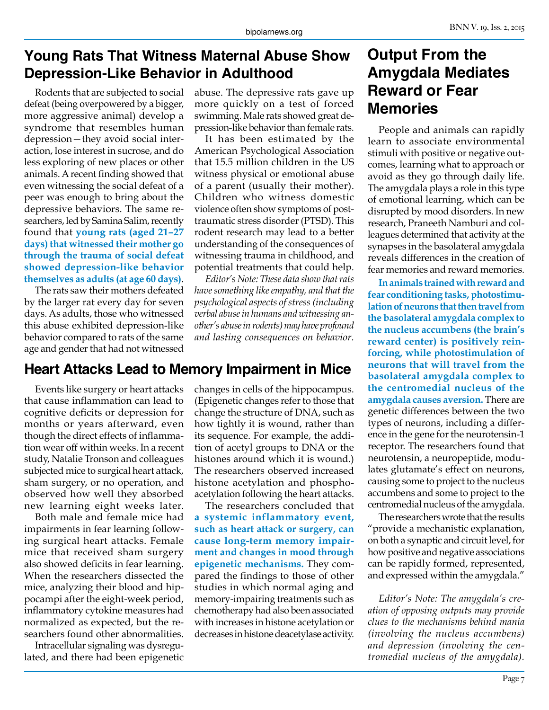#### **Young Rats That Witness Maternal Abuse Show Depression-Like Behavior in Adulthood**

Rodents that are subjected to social defeat (being overpowered by a bigger, more aggressive animal) develop a syndrome that resembles human depression—they avoid social interaction, lose interest in sucrose, and do less exploring of new places or other animals. A recent finding showed that even witnessing the social defeat of a peer was enough to bring about the depressive behaviors. The same researchers, led by Samina Salim, recently found that **young rats (aged 21–27 days) that witnessed their mother go through the trauma of social defeat showed depression-like behavior themselves as adults (at age 60 days)**.

The rats saw their mothers defeated by the larger rat every day for seven days. As adults, those who witnessed this abuse exhibited depression-like behavior compared to rats of the same age and gender that had not witnessed

abuse. The depressive rats gave up more quickly on a test of forced swimming. Male rats showed great depression-like behavior than female rats.

It has been estimated by the American Psychological Association that 15.5 million children in the US witness physical or emotional abuse of a parent (usually their mother). Children who witness domestic violence often show symptoms of posttraumatic stress disorder (PTSD). This rodent research may lead to a better understanding of the consequences of witnessing trauma in childhood, and potential treatments that could help.

*Editor's Note: These data show that rats have something like empathy, and that the psychological aspects of stress (including verbal abuse in humans and witnessing another's abuse in rodents) may have profound and lasting consequences on behavior.*

## **Heart Attacks Lead to Memory Impairment in Mice**

Events like surgery or heart attacks that cause inflammation can lead to cognitive deficits or depression for months or years afterward, even though the direct effects of inflammation wear off within weeks. In a recent study, Natalie Tronson and colleagues subjected mice to surgical heart attack, sham surgery, or no operation, and observed how well they absorbed new learning eight weeks later.

Both male and female mice had impairments in fear learning following surgical heart attacks. Female mice that received sham surgery also showed deficits in fear learning. When the researchers dissected the mice, analyzing their blood and hippocampi after the eight-week period, inflammatory cytokine measures had normalized as expected, but the researchers found other abnormalities.

Intracellular signaling was dysregulated, and there had been epigenetic changes in cells of the hippocampus. (Epigenetic changes refer to those that change the structure of DNA, such as how tightly it is wound, rather than its sequence. For example, the addition of acetyl groups to DNA or the histones around which it is wound.) The researchers observed increased histone acetylation and phosphoacetylation following the heart attacks.

The researchers concluded that **a systemic inflammatory event, such as heart attack or surgery, can cause long-term memory impairment and changes in mood through epigenetic mechanisms.** They compared the findings to those of other studies in which normal aging and memory-impairing treatments such as chemotherapy had also been associated with increases in histone acetylation or decreases in histone deacetylase activity.

## **Output From the Amygdala Mediates Reward or Fear Memories**

People and animals can rapidly learn to associate environmental stimuli with positive or negative outcomes, learning what to approach or avoid as they go through daily life. The amygdala plays a role in this type of emotional learning, which can be disrupted by mood disorders. In new research, Praneeth Namburi and colleagues determined that activity at the synapses in the basolateral amygdala reveals differences in the creation of fear memories and reward memories.

**In animals trained with reward and fear conditioning tasks, photostimulation of neurons that then travel from the basolateral amygdala complex to the nucleus accumbens (the brain's reward center) is positively reinforcing, while photostimulation of neurons that will travel from the basolateral amygdala complex to the centromedial nucleus of the amygdala causes aversion.** There are genetic differences between the two types of neurons, including a difference in the gene for the neurotensin-1 receptor. The researchers found that neurotensin, a neuropeptide, modulates glutamate's effect on neurons, causing some to project to the nucleus accumbens and some to project to the centromedial nucleus of the amygdala.

The researchers wrote that the results "provide a mechanistic explanation, on both a synaptic and circuit level, for how positive and negative associations can be rapidly formed, represented, and expressed within the amygdala."

*Editor's Note: The amygdala's creation of opposing outputs may provide clues to the mechanisms behind mania (involving the nucleus accumbens) and depression (involving the centromedial nucleus of the amygdala).*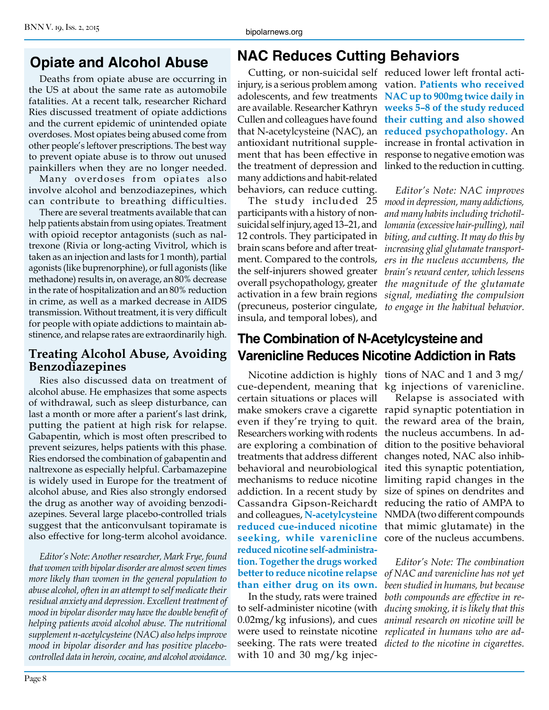## **Opiate and Alcohol Abuse**

Deaths from opiate abuse are occurring in the US at about the same rate as automobile fatalities. At a recent talk, researcher Richard Ries discussed treatment of opiate addictions and the current epidemic of unintended opiate overdoses. Most opiates being abused come from other people's leftover prescriptions. The best way to prevent opiate abuse is to throw out unused painkillers when they are no longer needed.

Many overdoses from opiates also involve alcohol and benzodiazepines, which can contribute to breathing difficulties.

There are several treatments available that can help patients abstain from using opiates. Treatment with opioid receptor antagonists (such as naltrexone (Rivia or long-acting Vivitrol, which is taken as an injection and lasts for 1 month), partial agonists (like buprenorphine), or full agonists (like methadone) results in, on average, an 80% decrease in the rate of hospitalization and an 80% reduction in crime, as well as a marked decrease in AIDS transmission. Without treatment, it is very difficult for people with opiate addictions to maintain abstinence, and relapse rates are extraordinarily high.

#### **Treating Alcohol Abuse, Avoiding Benzodiazepines**

Ries also discussed data on treatment of alcohol abuse. He emphasizes that some aspects of withdrawal, such as sleep disturbance, can last a month or more after a parient's last drink, putting the patient at high risk for relapse. Gabapentin, which is most often prescribed to prevent seizures, helps patients with this phase. Ries endorsed the combination of gabapentin and naltrexone as especially helpful. Carbamazepine is widely used in Europe for the treatment of alcohol abuse, and Ries also strongly endorsed the drug as another way of avoiding benzodiazepines. Several large placebo-controlled trials suggest that the anticonvulsant topiramate is also effective for long-term alcohol avoidance.

*Editor's Note: Another researcher, Mark Frye, found that women with bipolar disorder are almost seven times more likely than women in the general population to abuse alcohol, often in an attempt to self medicate their residual anxiety and depression. Excellent treatment of mood in bipolar disorder may have the double benefit of helping patients avoid alcohol abuse. The nutritional supplement n-acetylcysteine (NAC) also helps improve mood in bipolar disorder and has positive placebocontrolled data in heroin, cocaine, and alcohol avoidance.*

## **NAC Reduces Cutting Behaviors**

injury, is a serious problem among vation. **Patients who received**  adolescents, and few treatments **NAC up to 900mg twice daily in**  are available. Researcher Kathryn **weeks 5–8 of the study reduced**  Cullen and colleagues have found **their cutting and also showed**  that N-acetylcysteine (NAC), an **reduced psychopathology.** An antioxidant nutritional supple-increase in frontal activation in ment that has been effective in response to negative emotion was the treatment of depression and linked to the reduction in cutting. many addictions and habit-related behaviors, can reduce cutting.

participants with a history of nonsuicidal self injury, aged 13–21, and 12 controls. They participated in brain scans before and after treatment. Compared to the controls, the self-injurers showed greater overall psychopathology, greater activation in a few brain regions (precuneus, posterior cingulate, insula, and temporal lobes), and

Cutting, or non-suicidal self reduced lower left frontal acti-

The study included 25 *mood in depression, many addictions, Editor's Note: NAC improves and many habits including trichotillomania (excessive hair-pulling), nail biting, and cutting. It may do this by increasing glial glutamate transporters in the nucleus accumbens, the brain's reward center, which lessens the magnitude of the glutamate signal, mediating the compulsion to engage in the habitual behavior.*

#### **The Combination of N-Acetylcysteine and Varenicline Reduces Nicotine Addiction in Rats**

cue-dependent, meaning that kg injections of varenicline. certain situations or places will make smokers crave a cigarette rapid synaptic potentiation in even if they're trying to quit. the reward area of the brain, Researchers working with rodents the nucleus accumbens. In adare exploring a combination of dition to the positive behavioral treatments that address different changes noted, NAC also inhibbehavioral and neurobiological ited this synaptic potentiation, mechanisms to reduce nicotine limiting rapid changes in the addiction. In a recent study by size of spines on dendrites and Cassandra Gipson-Reichardt reducing the ratio of AMPA to and colleagues, **N-acetylcysteine**  NMDA (two different compounds **reduced cue-induced nicotine**  that mimic glutamate) in the **seeking, while varenicline**  core of the nucleus accumbens. **reduced nicotine self-administration. Together the drugs worked better to reduce nicotine relapse**  *of NAC and varenicline has not yet*  **than either drug on its own.**

In the study, rats were trained to self-administer nicotine (with 0.02mg/kg infusions), and cues were used to reinstate nicotine seeking. The rats were treated with 10 and 30 mg/kg injec-

Nicotine addiction is highly tions of NAC and 1 and 3 mg/

Relapse is associated with

*Editor's Note: The combination been studied in humans, but because both compounds are effective in reducing smoking, it is likely that this animal research on nicotine will be replicated in humans who are addicted to the nicotine in cigarettes.*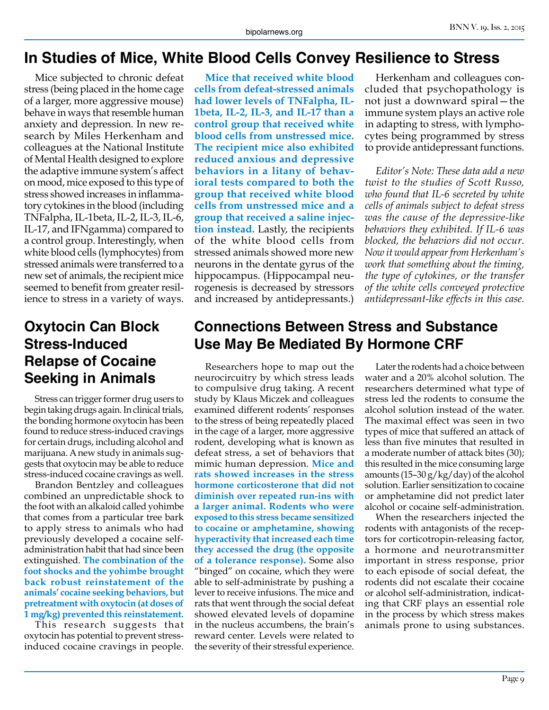#### **In Studies of Mice, White Blood Cells Convey Resilience to Stress**

Mice subjected to chronic defeat stress (being placed in the home cage of a larger, more aggressive mouse) behave in ways that resemble human anxiety and depression. In new research by Miles Herkenham and colleagues at the National Institute of Mental Health designed to explore the adaptive immune system's affect on mood, mice exposed to this type of stress showed increases in inflammatory cytokines in the blood (including TNFalpha, IL-1beta, IL-2, IL-3, IL-6, IL-17, and IFNgamma) compared to a control group. Interestingly, when white blood cells (lymphocytes) from stressed animals were transferred to a new set of animals, the recipient mice seemed to benefit from greater resilience to stress in a variety of ways.

## **Oxytocin Can Block Stress-Induced Relapse of Cocaine Seeking in Animals**

Stress can trigger former drug users to begin taking drugs again. In clinical trials, the bonding hormone oxytocin has been found to reduce stress-induced cravings for certain drugs, including alcohol and marijuana. A new study in animals suggests that oxytocin may be able to reduce stress-induced cocaine cravings as well.

Brandon Bentzley and colleagues combined an unpredictable shock to the foot with an alkaloid called yohimbe that comes from a particular tree bark to apply stress to animals who had previously developed a cocaine selfadministration habit that had since been extinguished. **The combination of the foot shocks and the yohimbe brought back robust reinstatement of the animals' cocaine seeking behaviors, but pretreatment with oxytocin (at doses of 1 mg/kg) prevented this reinstatement.**

This research suggests that oxytocin has potential to prevent stressinduced cocaine cravings in people.

**Mice that received white blood cells from defeat-stressed animals had lower levels of TNFalpha, IL-1beta, IL-2, IL-3, and IL-17 than a control group that received white blood cells from unstressed mice. The recipient mice also exhibited reduced anxious and depressive behaviors in a litany of behavioral tests compared to both the group that received white blood cells from unstressed mice and a group that received a saline injection instead.** Lastly, the recipients of the white blood cells from stressed animals showed more new neurons in the dentate gyrus of the hippocampus. (Hippocampal neurogenesis is decreased by stressors and increased by antidepressants.)

#### **Connections Between Stress and Substance Use May Be Mediated By Hormone CRF**

Researchers hope to map out the neurocircuitry by which stress leads to compulsive drug taking. A recent study by Klaus Miczek and colleagues examined different rodents' responses to the stress of being repeatedly placed in the cage of a larger, more aggressive rodent, developing what is known as defeat stress, a set of behaviors that mimic human depression. **Mice and rats showed increases in the stress hormone corticosterone that did not diminish over repeated run-ins with a larger animal. Rodents who were exposed to this stress became sensitized to cocaine or amphetamine, showing hyperactivity that increased each time they accessed the drug (the opposite of a tolerance response).** Some also "binged" on cocaine, which they were able to self-administrate by pushing a lever to receive infusions. The mice and rats that went through the social defeat showed elevated levels of dopamine in the nucleus accumbens, the brain's reward center. Levels were related to the severity of their stressful experience.

Herkenham and colleagues concluded that psychopathology is not just a downward spiral—the immune system plays an active role in adapting to stress, with lymphocytes being programmed by stress to provide antidepressant functions.

*Editor's Note: These data add a new twist to the studies of Scott Russo, who found that IL-6 secreted by white cells of animals subject to defeat stress was the cause of the depressive-like behaviors they exhibited. If IL-6 was blocked, the behaviors did not occur. Now it would appear from Herkenham's work that something about the timing, the type of cytokines, or the transfer of the white cells conveyed protective antidepressant-like effects in this case.*

Later the rodents had a choice between water and a 20% alcohol solution. The researchers determined what type of stress led the rodents to consume the alcohol solution instead of the water. The maximal effect was seen in two types of mice that suffered an attack of less than five minutes that resulted in a moderate number of attack bites (30); this resulted in the mice consuming large amounts  $(15-30 g/kg/day)$  of the alcohol solution. Earlier sensitization to cocaine or amphetamine did not predict later alcohol or cocaine self-administration.

When the researchers injected the rodents with antagonists of the receptors for corticotropin-releasing factor, a hormone and neurotransmitter important in stress response, prior to each episode of social defeat, the rodents did not escalate their cocaine or alcohol self-administration, indicating that CRF plays an essential role in the process by which stress makes animals prone to using substances.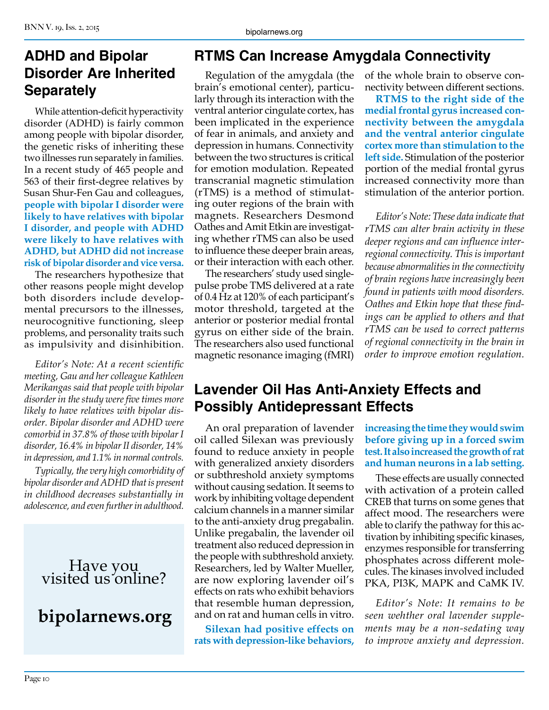Page 10

#### BNN V. 19, Iss. 2, 2015

#### **ADHD and Bipolar Disorder Are Inherited Separately**

While attention-deficit hyperactivity disorder (ADHD) is fairly common among people with bipolar disorder, the genetic risks of inheriting these two illnesses run separately in families. In a recent study of 465 people and 563 of their first-degree relatives by Susan Shur-Fen Gau and colleagues, **people with bipolar I disorder were likely to have relatives with bipolar I disorder, and people with ADHD were likely to have relatives with ADHD, but ADHD did not increase risk of bipolar disorder and vice versa.**

The researchers hypothesize that other reasons people might develop both disorders include developmental precursors to the illnesses, neurocognitive functioning, sleep problems, and personality traits such as impulsivity and disinhibition.

*Editor's Note: At a recent scientific meeting, Gau and her colleague Kathleen Merikangas said that people with bipolar disorder in the study were five times more likely to have relatives with bipolar disorder. Bipolar disorder and ADHD were comorbid in 37.8% of those with bipolar I disorder, 16.4% in bipolar II disorder, 14% in depression, and 1.1% in normal controls.* 

*Typically, the very high comorbidity of bipolar disorder and ADHD that is present in childhood decreases substantially in adolescence, and even further in adulthood.*

## Have you visited us online?

## **bipolarnews.org**

#### **RTMS Can Increase Amygdala Connectivity**

Regulation of the amygdala (the brain's emotional center), particularly through its interaction with the ventral anterior cingulate cortex, has been implicated in the experience of fear in animals, and anxiety and depression in humans. Connectivity between the two structures is critical for emotion modulation. Repeated transcranial magnetic stimulation (rTMS) is a method of stimulating outer regions of the brain with magnets. Researchers Desmond Oathes and Amit Etkin are investigating whether rTMS can also be used to influence these deeper brain areas, or their interaction with each other.

The researchers' study used singlepulse probe TMS delivered at a rate of 0.4 Hz at 120% of each participant's motor threshold, targeted at the anterior or posterior medial frontal gyrus on either side of the brain. The researchers also used functional magnetic resonance imaging (fMRI)

of the whole brain to observe connectivity between different sections.

**RTMS to the right side of the medial frontal gyrus increased connectivity between the amygdala and the ventral anterior cingulate cortex more than stimulation to the left side.** Stimulation of the posterior portion of the medial frontal gyrus increased connectivity more than stimulation of the anterior portion.

*Editor's Note: These data indicate that rTMS can alter brain activity in these deeper regions and can influence interregional connectivity. This is important because abnormalities in the connectivity of brain regions have increasingly been found in patients with mood disorders. Oathes and Etkin hope that these findings can be applied to others and that rTMS can be used to correct patterns of regional connectivity in the brain in order to improve emotion regulation.*

#### **Lavender Oil Has Anti-Anxiety Effects and Possibly Antidepressant Effects**

An oral preparation of lavender oil called Silexan was previously found to reduce anxiety in people with generalized anxiety disorders or subthreshold anxiety symptoms without causing sedation. It seems to work by inhibiting voltage dependent calcium channels in a manner similar to the anti-anxiety drug pregabalin. Unlike pregabalin, the lavender oil treatment also reduced depression in the people with subthreshold anxiety. Researchers, led by Walter Mueller, are now exploring lavender oil's effects on rats who exhibit behaviors that resemble human depression, and on rat and human cells in vitro.

**Silexan had positive effects on rats with depression-like behaviors,** 

**increasing the time they would swim before giving up in a forced swim test. It also increased the growth of rat and human neurons in a lab setting.** 

These effects are usually connected with activation of a protein called CREB that turns on some genes that affect mood. The researchers were able to clarify the pathway for this activation by inhibiting specific kinases, enzymes responsible for transferring phosphates across different molecules. The kinases involved included PKA, PI3K, MAPK and CaMK IV.

*Editor's Note: It remains to be seen wehther oral lavender supplements may be a non-sedating way to improve anxiety and depression.*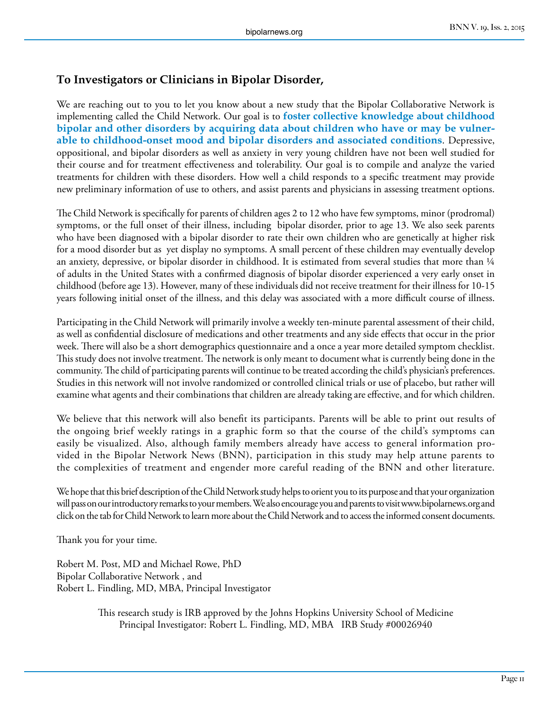#### **To Investigators or Clinicians in Bipolar Disorder,**

We are reaching out to you to let you know about a new study that the Bipolar Collaborative Network is implementing called the Child Network. Our goal is to **foster collective knowledge about childhood bipolar and other disorders by acquiring data about children who have or may be vulnerable to childhood-onset mood and bipolar disorders and associated conditions**. Depressive, oppositional, and bipolar disorders as well as anxiety in very young children have not been well studied for their course and for treatment effectiveness and tolerability. Our goal is to compile and analyze the varied treatments for children with these disorders. How well a child responds to a specific treatment may provide new preliminary information of use to others, and assist parents and physicians in assessing treatment options.

The Child Network is specifically for parents of children ages 2 to 12 who have few symptoms, minor (prodromal) symptoms, or the full onset of their illness, including bipolar disorder, prior to age 13. We also seek parents who have been diagnosed with a bipolar disorder to rate their own children who are genetically at higher risk for a mood disorder but as yet display no symptoms. A small percent of these children may eventually develop an anxiety, depressive, or bipolar disorder in childhood. It is estimated from several studies that more than 1/4 of adults in the United States with a confirmed diagnosis of bipolar disorder experienced a very early onset in childhood (before age 13). However, many of these individuals did not receive treatment for their illness for 10-15 years following initial onset of the illness, and this delay was associated with a more difficult course of illness.

Participating in the Child Network will primarily involve a weekly ten-minute parental assessment of their child, as well as confidential disclosure of medications and other treatments and any side effects that occur in the prior week. There will also be a short demographics questionnaire and a once a year more detailed symptom checklist. This study does not involve treatment. The network is only meant to document what is currently being done in the community. The child of participating parents will continue to be treated according the child's physician's preferences. Studies in this network will not involve randomized or controlled clinical trials or use of placebo, but rather will examine what agents and their combinations that children are already taking are effective, and for which children.

We believe that this network will also benefit its participants. Parents will be able to print out results of the ongoing brief weekly ratings in a graphic form so that the course of the child's symptoms can easily be visualized. Also, although family members already have access to general information provided in the Bipolar Network News (BNN), participation in this study may help attune parents to the complexities of treatment and engender more careful reading of the BNN and other literature.

We hope that this brief description of the Child Network study helps to orient you to its purpose and that your organization will pass on our introductory remarks to your members. We also encourage you and parents to visit www.bipolarnews.org and click on the tab for Child Network to learn more about the Child Network and to access the informed consent documents.

Thank you for your time.

Robert M. Post, MD and Michael Rowe, PhD Bipolar Collaborative Network , and Robert L. Findling, MD, MBA, Principal Investigator

> This research study is IRB approved by the Johns Hopkins University School of Medicine Principal Investigator: Robert L. Findling, MD, MBA IRB Study #00026940